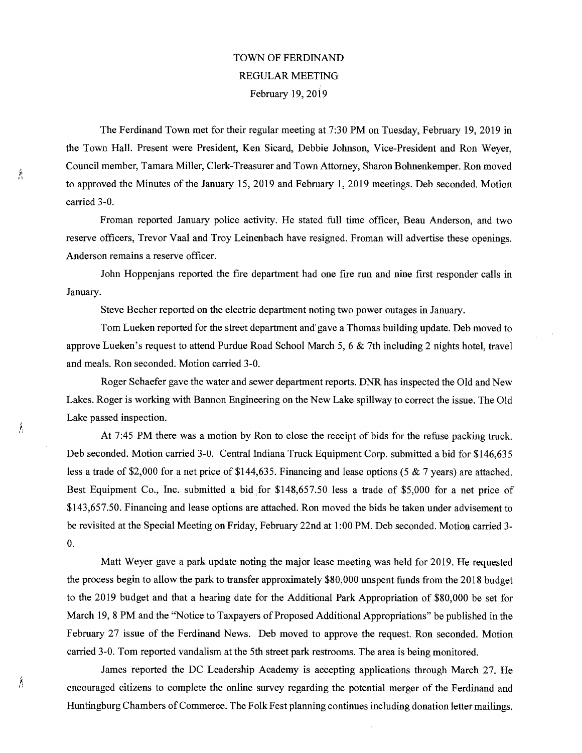## TOWN OF FERDINAND REGULAR MEETING February 19, 2019

The Ferdinand Town met for their regular meeting at 7:30 PM on Tuesday, February 19, 2019 in the Town Hall. Present were President, Ken Sicard, Debbie Johnson, Vice-President and Ron Weyer, Council member, Tamara Miller, Clerk-Treasurer and Town Attorney, Sharon Bohnenkemper. Ron moved to approved the Minutes of the January 15, 2019 and February 1, 2019 meetings. Deb seconded. Motion carried 3-0.

Froman reported January police activity. He stated full time officer, Beau Anderson, and two reserve officers, Trevor Vaal and Troy Leinenbach have resigned. Froman will advertise these openings. Anderson remains a reserve officer.

John Hoppenjans reported the fire department had one fire run and nine first responder calls in January.

Steve Becher reported on the electric department noting two power outages in January.

Tom Lueken reported for the street department and gave a Thomas building update. Deb moved to approve Lueken's request to attend Purdue Road School March 5, 6 & 7th including 2 nights hotel, travel and meals. Ron seconded. Motion carried 3-0.

Roger Schaefer gave the water and sewer department reports. DNR has inspected the Old and New Lakes. Roger is working with Bannon Engineering on the New Lake spillway to correct the issue. The Old Lake passed inspection.

At 7:45 PM there was a motion by Ron to close the receipt of bids for the refuse packing truck. Deb seconded. Motion carried 3-0. Central Indiana Truck Equipment Corp. submitted a bid for \$146,635 less a trade of \$2,000 for a net price of \$144,635. Financing and lease options (5 & 7 years) are attached. Best Equipment Co., Inc. submitted a bid for \$148,657.50 less a trade of \$5,000 for a net price of \$143,657.50. Financing and lease options are attached. Ron moved the bids be taken under advisement to be revisited at the Special Meeting on Friday, February 22nd at 1:00 PM. Deb seconded. Motion carried 3- 0.

Matt Weyer gave a park update noting the major lease meeting was held for 2019. He requested the process begin to allow the park to transfer approximately \$80,000 unspent funds from the 2018 budget to the 2019 budget and that a hearing date for the Additional Park Appropriation of \$80,000 be set for March 19, 8 PM and the "Notice to Taxpayers of Proposed Additional Appropriations" be published in the February 27 issue of the Ferdinand News. Deb moved to approve the request. Ron seconded. Motion carried 3-0. Tom reported vandalism at the 5th street park restrooms. The area is being monitored.

James reported the DC Leadership Academy is accepting applications through March 27. He encouraged citizens to complete the online survey regarding the potential merger of the Ferdinand and Huntingburg Chambers of Commerce. The Folk Fest planning continues including donation letter mailings.

Á

Á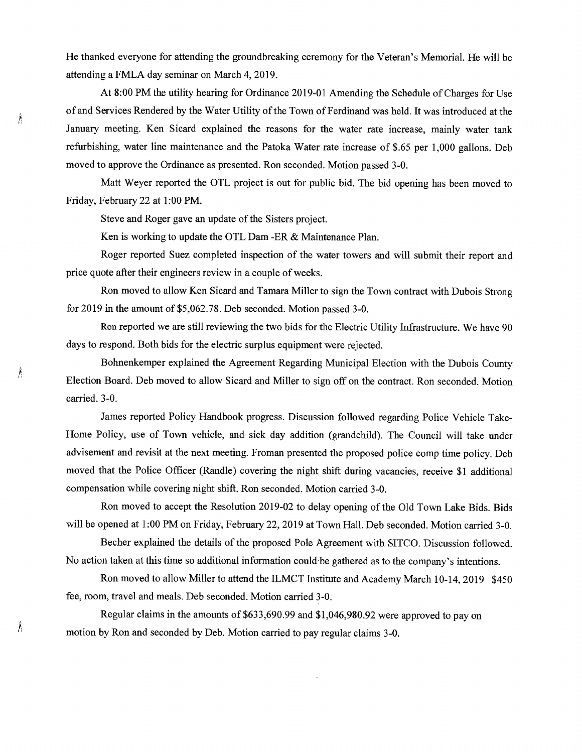He thanked everyone for attending the groundbreaking ceremony for the Veteran's Memorial. He will be attending a FMLA day seminar on March 4, 2019.

At 8:00 PM the utility hearing for Ordinance 2019-01 Amending the Schedule of Charges for Use of and Services Rendered by the Water Utility of the Town of Ferdinand was held. It was introduced at the January meeting. Ken Sicard explained the reasons for the water rate increase, mainly water tank refurbishing, water line maintenance and the Patoka Water rate increase of \$.65 per 1,000 gallons. Deb moved to approve the Ordinance as presented. Ron seconded. Motion passed 3-0.

Matt Weyer reported the OTL project is out for public bid. The bid opening has been moved to Friday, February 22 at 1:00 PM.

Steve and Roger gave an update of the Sisters project.

Ken is working to update the OTL Dam -ER & Maintenance Plan.

Roger reported Suez completed inspection of the water towers and will submit their report and price quote after their engineers review in a couple of weeks.

Ron moved to allow Ken Sicard and Tamara Miller to sign the Town contract with Dubois Strong for 2019 in the amount of \$5,062.78. Deb seconded. Motion passed 3-0.

Ron reported we are still reviewing the two bids for the Electric Utility Infrastructure. We have 90 days to respond. Both bids for the electric surplus equipment were rejected.

Bohnenkemper explained the Agreement Regarding Municipal Election with the Dubois County Election Board. Deb moved to allow Sicard and Miller to sign off on the contract. Ron seconded. Motion carried. 3-0.

James reported Policy Handbook progress. Discussion followed regarding Police Vehicle Take-Home Policy, use of Town vehicle, and sick day addition (grandchild). The Council will take under advisement and revisit at the next meeting. Froman presented the proposed police comp time policy. Deb moved that the Police Officer (Randle) covering the night shift during vacancies, receive \$1 additional compensation while covering night shift. Ron seconded. Motion carried 3-0.

Ron moved to accept the Resolution 2019-02 to delay opening of the Old Town Lake Bids. Bids will be opened at 1:00 PM on Friday, February 22, 2019 at Town Hall. Deb seconded. Motion carried 3-0.

Becher explained the details of the proposed Pole Agreement with SITCO. Discussion followed. No action taken at this time so additional information could be gathered as to the company 's intentions.

Ron moved to allow Miller to attend the ILMCT Institute and Academy March 10-14, 2019 \$450 fee, room, travel and meals. Deb seconded. Motion carried 3-0.

Regular claims in the amounts of \$633,690.99 and \$1,046,980.92 were approved to pay on motion by Ron and seconded by Deb. Motion carried to pay regular claims 3-0.

 $\hat{\mathbf{r}}$ 

Â